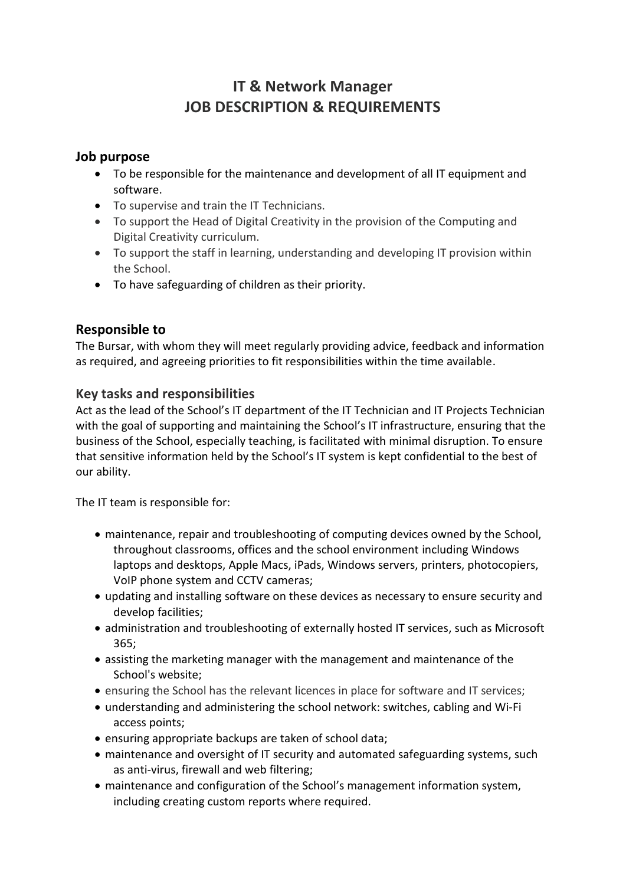# **IT & Network Manager JOB DESCRIPTION & REQUIREMENTS**

### **Job purpose**

- To be responsible for the maintenance and development of all IT equipment and software.
- To supervise and train the IT Technicians.
- To support the Head of Digital Creativity in the provision of the Computing and Digital Creativity curriculum.
- To support the staff in learning, understanding and developing IT provision within the School.
- To have safeguarding of children as their priority.

## **Responsible to**

The Bursar, with whom they will meet regularly providing advice, feedback and information as required, and agreeing priorities to fit responsibilities within the time available.

## **Key tasks and responsibilities**

Act as the lead of the School's IT department of the IT Technician and IT Projects Technician with the goal of supporting and maintaining the School's IT infrastructure, ensuring that the business of the School, especially teaching, is facilitated with minimal disruption. To ensure that sensitive information held by the School's IT system is kept confidential to the best of our ability.

The IT team is responsible for:

- maintenance, repair and troubleshooting of computing devices owned by the School, throughout classrooms, offices and the school environment including Windows laptops and desktops, Apple Macs, iPads, Windows servers, printers, photocopiers, VoIP phone system and CCTV cameras;
- updating and installing software on these devices as necessary to ensure security and develop facilities;
- administration and troubleshooting of externally hosted IT services, such as Microsoft 365;
- assisting the marketing manager with the management and maintenance of the School's website;
- ensuring the School has the relevant licences in place for software and IT services;
- understanding and administering the school network: switches, cabling and Wi-Fi access points;
- ensuring appropriate backups are taken of school data;
- maintenance and oversight of IT security and automated safeguarding systems, such as anti-virus, firewall and web filtering;
- maintenance and configuration of the School's management information system, including creating custom reports where required.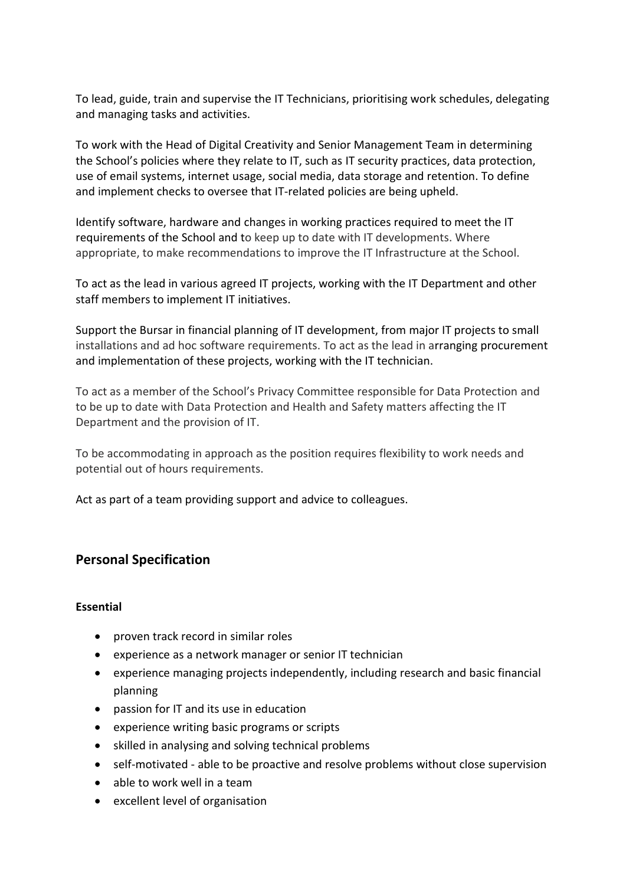To lead, guide, train and supervise the IT Technicians, prioritising work schedules, delegating and managing tasks and activities.

To work with the Head of Digital Creativity and Senior Management Team in determining the School's policies where they relate to IT, such as IT security practices, data protection, use of email systems, internet usage, social media, data storage and retention. To define and implement checks to oversee that IT-related policies are being upheld.

Identify software, hardware and changes in working practices required to meet the IT requirements of the School and to keep up to date with IT developments. Where appropriate, to make recommendations to improve the IT Infrastructure at the School.

To act as the lead in various agreed IT projects, working with the IT Department and other staff members to implement IT initiatives.

Support the Bursar in financial planning of IT development, from major IT projects to small installations and ad hoc software requirements. To act as the lead in arranging procurement and implementation of these projects, working with the IT technician.

To act as a member of the School's Privacy Committee responsible for Data Protection and to be up to date with Data Protection and Health and Safety matters affecting the IT Department and the provision of IT.

To be accommodating in approach as the position requires flexibility to work needs and potential out of hours requirements.

Act as part of a team providing support and advice to colleagues.

#### **Personal Specification**

#### **Essential**

- proven track record in similar roles
- experience as a network manager or senior IT technician
- experience managing projects independently, including research and basic financial planning
- passion for IT and its use in education
- experience writing basic programs or scripts
- skilled in analysing and solving technical problems
- self-motivated able to be proactive and resolve problems without close supervision
- able to work well in a team
- excellent level of organisation